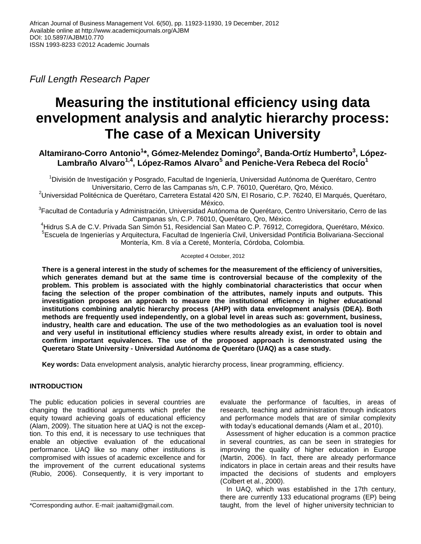*Full Length Research Paper*

# **Measuring the institutional efficiency using data envelopment analysis and analytic hierarchy process: The case of a Mexican University**

**Altamirano-Corro Antonio<sup>1</sup> \*, Gómez-Melendez Domingo<sup>2</sup> , Banda-Ortíz Humberto<sup>3</sup> , López-Lambraño Alvaro1,4, López-Ramos Alvaro<sup>5</sup> and Peniche-Vera Rebeca del Rocío<sup>1</sup>**

<sup>1</sup>División de Investigación y Posgrado, Facultad de Ingeniería, Universidad Autónoma de Querétaro, Centro Universitario, Cerro de las Campanas s/n, C.P. 76010, Querétaro, Qro, México.

<sup>2</sup>Universidad Politécnica de Querétaro, Carretera Estatal 420 S/N, El Rosario, C.P. 76240, El Marqués, Querétaro, México.

<sup>3</sup>Facultad de Contaduría y Administración, Universidad Autónoma de Querétaro, Centro Universitario, Cerro de las Campanas s/n, C.P. 76010, Querétaro, Qro, México.

<sup>4</sup>Hidrus S.A de C.V. Privada San Simón 51, Residencial San Mateo C.P. 76912, Corregidora, Querétaro, México. 5 Escuela de Ingenierías y Arquitectura, Facultad de Ingeniería Civil, Universidad Pontificia Bolivariana-Seccional Montería, Km. 8 vía a Cereté, Montería, Córdoba, Colombia.

Accepted 4 October, 2012

**There is a general interest in the study of schemes for the measurement of the efficiency of universities, which generates demand but at the same time is controversial because of the complexity of the problem. This problem is associated with the highly combinatorial characteristics that occur when facing the selection of the proper combination of the attributes, namely inputs and outputs. This investigation proposes an approach to measure the institutional efficiency in higher educational institutions combining analytic hierarchy process (AHP) with data envelopment analysis (DEA). Both methods are frequently used independently, on a global level in areas such as: government, business, industry, health care and education. The use of the two methodologies as an evaluation tool is novel and very useful in institutional efficiency studies where results already exist, in order to obtain and confirm important equivalences. The use of the proposed approach is demonstrated using the Queretaro State University - Universidad Autónoma de Querétaro (UAQ) as a case study.**

**Key words:** Data envelopment analysis, analytic hierarchy process, linear programming, efficiency.

# **INTRODUCTION**

The public education policies in several countries are changing the traditional arguments which prefer the equity toward achieving goals of educational efficiency (Alam, 2009). The situation here at UAQ is not the exception. To this end, it is necessary to use techniques that enable an objective evaluation of the educational performance. UAQ like so many other institutions is compromised with issues of academic excellence and for the improvement of the current educational systems (Rubio, 2006). Consequently, it is very important to

evaluate the performance of faculties, in areas of research, teaching and administration through indicators and performance models that are of similar complexity with today's educational demands (Alam et al., 2010).

Assessment of higher education is a common practice in several countries, as can be seen in strategies for improving the quality of higher education in Europe (Martin, 2006). In fact, there are already performance indicators in place in certain areas and their results have impacted the decisions of students and employers (Colbert et al., 2000).

In UAQ, which was established in the 17th century, there are currently 133 educational programs (EP) being taught, from the level of higher university technician to

<sup>\*</sup>Corresponding author. E-mail: jaaltami@gmail.com.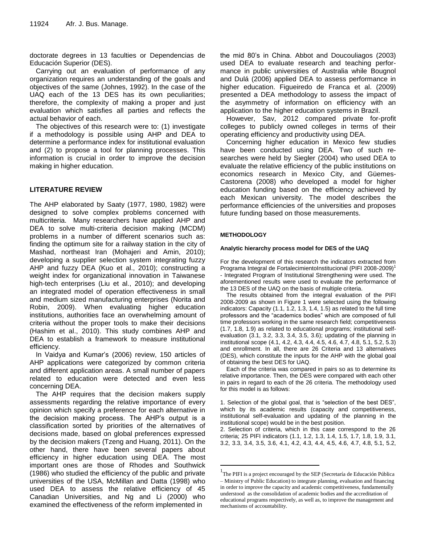doctorate degrees in 13 faculties or Dependencias de Educación Superior (DES).

Carrying out an evaluation of performance of any organization requires an understanding of the goals and objectives of the same (Johnes, 1992). In the case of the UAQ each of the 13 DES has its own peculiarities; therefore, the complexity of making a proper and just evaluation which satisfies all parties and reflects the actual behavior of each.

The objectives of this research were to: (1) investigate if a methodology is possible using AHP and DEA to determine a performance index for institutional evaluation and (2) to propose a tool for planning processes. This information is crucial in order to improve the decision making in higher education.

## **LITERATURE REVIEW**

The AHP elaborated by Saaty (1977, 1980, 1982) were designed to solve complex problems concerned with multicriteria. Many researchers have applied AHP and DEA to solve multi-criteria decision making (MCDM) problems in a number of different scenarios such as: finding the optimum site for a railway station in the city of Mashad, northeast Iran (Mohajeri and Amin, 2010); developing a supplier selection system integrating fuzzy AHP and fuzzy DEA (Kuo et al., 2010); constructing a weight index for organizational innovation in Taiwanese high-tech enterprises (Liu et al., 2010); and developing an integrated model of operation effectiveness in small and medium sized manufacturing enterprises (Norita and Robin, 2009). When evaluating higher education institutions, authorities face an overwhelming amount of criteria without the proper tools to make their decisions (Hashim et al., 2010). This study combines AHP and DEA to establish a framework to measure institutional efficiency.

In Vaidya and Kumar's (2006) review, 150 articles of AHP applications were categorized by common criteria and different application areas. A small number of papers related to education were detected and even less concerning DEA.

The AHP requires that the decision makers supply assessments regarding the relative importance of every opinion which specify a preference for each alternative in the decision making process. The AHP's output is a classification sorted by priorities of the alternatives of decisions made, based on global preferences expressed by the decision makers (Tzeng and Huang, 2011). On the other hand, there have been several papers about efficiency in higher education using DEA. The most important ones are those of Rhodes and Southwick (1986) who studied the efficiency of the public and private universities of the USA, McMillan and Datta (1998) who used DEA to assess the relative efficiency of 45 Canadian Universities, and Ng and Li (2000) who examined the effectiveness of the reform implemented in

the mid 80's in China. Abbot and Doucouliagos (2003) used DEA to evaluate research and teaching performance in public universities of Australia while Bougnol and Dulá (2006) applied DEA to assess performance in higher education. Figueiredo de Franca et al. (2009) presented a DEA methodology to assess the impact of the asymmetry of information on efficiency with an application to the higher education systems in Brazil.

However, Sav, 2012 compared private for-profit colleges to publicly owned colleges in terms of their operating efficiency and productivity using DEA.

Concerning higher education in Mexico few studies have been conducted using DEA. Two of such researches were held by Siegler (2004) who used DEA to evaluate the relative efficiency of the public institutions on economics research in Mexico City, and Güemes-Castorena (2008) who developed a model for higher education funding based on the efficiency achieved by each Mexican university. The model describes the performance efficiencies of the universities and proposes future funding based on those measurements.

## **METHODOLOGY**

 $\overline{a}$ 

## **Analytic hierarchy process model for DES of the UAQ**

For the development of this research the indicators extracted from Programa Integral de FortalecimientoInstitucional (PIFI 2008-2009)<sup>1</sup> - Integrated Program of Institutional Strengthening were used. The aforementioned results were used to evaluate the performance of the 13 DES of the UAQ on the basis of multiple criteria.

The results obtained from the integral evaluation of the PIFI 2008-2009 as shown in Figure 1 were selected using the following indicators: Capacity (1.1, 1.2, 1.3, 1.4, 1.5) as related to the full time professors and the "academics bodies" which are composed of full time professors working in the same research field; competitiveness (1.7, 1.8, 1.9) as related to educational programs; institutional selfevaluation (3.1, 3.2, 3.3, 3.4, 3.5, 3.6); updating of the planning in institutional scope (4.1, 4.2, 4.3, 4.4, 4.5, 4.6, 4.7, 4.8, 5.1, 5.2, 5.3) and enrollment. In all, there are 26 Criteria and 13 alternatives (DES), which constitute the inputs for the AHP with the global goal of obtaining the best DES for UAQ.

Each of the criteria was compared in pairs so as to determine its relative importance. Then, the DES were compared with each other in pairs in regard to each of the 26 criteria. The methodology used for this model is as follows:

1. Selection of the global goal, that is "selection of the best DES", which by its academic results (capacity and competitiveness, institutional self-evaluation and updating of the planning in the institutional scope) would be in the best position.

2. Selection of criteria, which in this case correspond to the 26 criteria; 25 PIFI indicators (1.1, 1.2, 1.3, 1.4, 1.5, 1.7, 1.8, 1.9, 3.1, 3.2, 3.3, 3.4, 3.5, 3.6, 4.1, 4.2, 4.3, 4.4, 4.5, 4.6, 4.7, 4.8, 5.1, 5.2,

<sup>&</sup>lt;sup>1</sup>The PIFI is a project encouraged by the SEP (Secretaría de Educación Pública – Ministry of Public Education) to integrate planning, evaluation and financing in order to improve the capacity and academic competitiveness, fundamentally understood as the consolidation of academic bodies and the accreditation of educational programs respectively, as well as, to improve the management and mechanisms of accountability.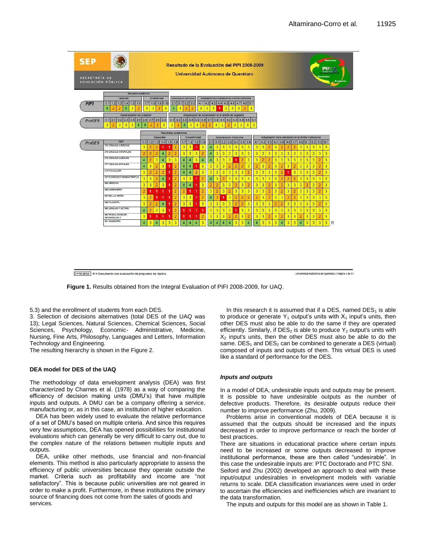| <b>SEP</b><br>Planeación<br>Resultado de la Evaluación del PIFI 2008-2009<br>PIFI A<br>Universidad Autónoma de Querétaro<br>Resultados<br>SECRETARÍA DE<br>Eval)<br>EDUCACIÓN PÚBLICA                                                                                                                                                                                                                            |                                                                                                                                                                                                                            |                |                |                            |                                         |                |                                                                     |                |                                          |                |                                                                                            |                |                                                                       |                                |                |                           |                |                                   |                |                |                         |                |                |                |                |                |                         |   |                |                |                                                     |
|------------------------------------------------------------------------------------------------------------------------------------------------------------------------------------------------------------------------------------------------------------------------------------------------------------------------------------------------------------------------------------------------------------------|----------------------------------------------------------------------------------------------------------------------------------------------------------------------------------------------------------------------------|----------------|----------------|----------------------------|-----------------------------------------|----------------|---------------------------------------------------------------------|----------------|------------------------------------------|----------------|--------------------------------------------------------------------------------------------|----------------|-----------------------------------------------------------------------|--------------------------------|----------------|---------------------------|----------------|-----------------------------------|----------------|----------------|-------------------------|----------------|----------------|----------------|----------------|----------------|-------------------------|---|----------------|----------------|-----------------------------------------------------|
| PIFI<br><b>ProGES</b>                                                                                                                                                                                                                                                                                                                                                                                            | Resultados acadêmicos<br>Capacidad<br>1.2<br>1.3<br>1.5<br>1.1<br>1.4<br>1.6<br>3<br>$\overline{2}$<br>$\overline{2}$<br>$\overline{2}$<br>4<br>4<br>Autoevaluación de la gestión<br>2.2 2.3 2.4 2.5 2.6 2.7<br>2.1<br>1.1 |                | 1.7<br>3       | Competitividad<br>1.8<br>3 | 1.9 1.10<br>$\overline{2}$<br>$2.8$ 2.9 | 3              | Autoevalueción institucional<br>2.1<br>$\overline{4}$<br>3.1<br>3.2 | 3.1<br>3       | $3.2$ 3.3<br>$\overline{2}$<br>3.3   3.4 | $\overline{2}$ | 4.1<br>3<br>Actualización de la planeación en el ámbito de la gestión<br>$3.5$ $3.6$ $3.7$ | 42<br>3        | Actualización de la planeación en el ámbito institucional<br>4.3<br>3 | 4.4<br>3<br>1<br>$3.8$ 4.1 4.2 | 4.5            | 4.6<br>3<br>$4.3$ 4.4 4.5 | 4.7<br>3       | 5.1<br>4.8<br>$\overline{2}$<br>3 | 5.1            |                |                         |                |                |                |                |                |                         |   |                |                |                                                     |
| 3<br>3<br>3<br>$\overline{a}$<br>3<br>3<br>$\overline{2}$<br>3<br>3<br>3<br>$\overline{3}$<br>$\overline{2}$<br>3<br>$\overline{3}$<br>$\overline{2}$<br>$\overline{a}$<br>3<br>3<br>3<br>$\overline{2}$<br>$\overline{4}$<br>$\overline{2}$<br>$\overline{\bf{4}}$<br>4<br>Resultados académicos<br>Competitividad<br>Actualización de la planeación en el ámbito institucional<br>Autoevakiación Institucional |                                                                                                                                                                                                                            |                |                |                            |                                         |                |                                                                     |                |                                          |                |                                                                                            |                |                                                                       |                                |                |                           |                |                                   |                |                |                         |                |                |                |                |                |                         |   |                |                |                                                     |
|                                                                                                                                                                                                                                                                                                                                                                                                                  |                                                                                                                                                                                                                            |                |                |                            | Capacidad                               |                |                                                                     |                |                                          |                |                                                                                            |                |                                                                       |                                |                |                           |                |                                   |                |                |                         |                |                |                |                |                |                         |   |                |                |                                                     |
| <b>ProDES</b>                                                                                                                                                                                                                                                                                                                                                                                                    | <b>DES</b><br>274 CIENCIAS JURÍDICAS                                                                                                                                                                                       | 1.1            | 1.2            | 1.3 <sup>1</sup>           |                                         | $1.4$ 1.5      | 1.6                                                                 | 1.7            | 1.8                                      |                | 1.91.10                                                                                    | 2.1            | 3.1                                                                   | 3.2                            | 3.3            | 3.4                       |                | $3.5$ $3.6$                       | 4.1            | 4.2            | 4.3                     | 4.4            | 4.5            | 4.6            | 4.7            | 4.8            | 5.1                     |   | $5.2$ 5.3 6.1  |                |                                                     |
|                                                                                                                                                                                                                                                                                                                                                                                                                  |                                                                                                                                                                                                                            | 3              | $\overline{2}$ | $\overline{2}$             | 1                                       | 1              | $\overline{2}$                                                      | 3              | 3                                        | 1              | 3                                                                                          | 4              | 3                                                                     | 3                              | 3              | 3                         | 3              | 3                                 | 3              | 3              | $\overline{2}$          | 3              | $\overline{2}$ | $\overline{2}$ | $\overline{2}$ | 3              | 3                       | 3 | 3              | 3              |                                                     |
|                                                                                                                                                                                                                                                                                                                                                                                                                  | 275 CIENCIAS NATURALES                                                                                                                                                                                                     | $\overline{2}$ | $\overline{a}$ | $\overline{2}$             | $\overline{4}$                          | $\overline{2}$ | $\overline{2}$                                                      | 3              | 3                                        | 3              | $\overline{2}$                                                                             | 4              | $\overline{3}$                                                        | $\overline{\mathbf{3}}$        | 3              | 3                         | 3              | 3                                 | 3              | 3              | 3                       | 3              | 3              | 3              | 3              | 3              | 3                       | 3 | 3              | $\overline{3}$ |                                                     |
|                                                                                                                                                                                                                                                                                                                                                                                                                  | 276 CIENCIAS QUÍMICAS                                                                                                                                                                                                      | 4              | $\overline{2}$ | 3                          | $\overline{4}$                          | 3              | $\overline{3}$                                                      | $\overline{4}$ | 4                                        | 3              | $\overline{4}$                                                                             | 4              | 3                                                                     | 3                              | 3              | 1                         | $\overline{2}$ | 3                                 | 3              | $\overline{2}$ | $\overline{2}$          | 3              | 3              | 3              | 3              | 3              | 3                       | 3 | $\overline{2}$ | 3              |                                                     |
|                                                                                                                                                                                                                                                                                                                                                                                                                  | 277 CIENCIAS SOCIALES                                                                                                                                                                                                      | 4              | 3              | $\overline{2}$             | 3                                       | 4              | $\overline{2}$                                                      | 4              | 4                                        | 1              | 3                                                                                          | 3              | $\overline{3}$                                                        | 3                              | $\overline{2}$ | $\overline{2}$            | $\overline{2}$ | 3                                 | $\overline{2}$ | 3              | $\overline{2}$          | 3              | $\overline{2}$ | 3              | $\overline{2}$ | 3              | $\overline{\mathbf{3}}$ | 3 | $\overline{2}$ | 3              |                                                     |
|                                                                                                                                                                                                                                                                                                                                                                                                                  | 279 PSICOLOGIA                                                                                                                                                                                                             | 3              | $\overline{a}$ | $\overline{2}$             | $\overline{2}$                          | 1              | $\overline{2}$                                                      | 4              | $\overline{4}$                           | $\overline{2}$ | $\overline{3}$                                                                             | 3              | 3                                                                     | 3                              | 3              | 3                         | 3              | $\overline{2}$                    | 3              | 3              | 3                       | 3              | $\overline{2}$ | 1              | 3              | 3              | 3                       | 3 | $\overline{2}$ | $\overline{3}$ |                                                     |
|                                                                                                                                                                                                                                                                                                                                                                                                                  | 537 ECONÓMICO ADMINISTRATIVA                                                                                                                                                                                               |                |                |                            |                                         |                |                                                                     |                |                                          |                |                                                                                            |                |                                                                       |                                |                |                           |                |                                   |                |                |                         |                |                |                |                |                |                         |   |                |                |                                                     |
|                                                                                                                                                                                                                                                                                                                                                                                                                  | <b>985 MEDICINA</b>                                                                                                                                                                                                        | 3              | $\overline{3}$ | $\overline{2}$             | 4                                       |                | $\overline{2}$                                                      | 3              | 3                                        | 1              | $\overline{2}$                                                                             | 4              | 3                                                                     | $\overline{2}$                 | 3              | 3                         | 3              | 3                                 | 3              | $\overline{3}$ | 3                       | 3              | $\overline{2}$ | $\overline{2}$ | $\overline{2}$ | 3              | 3                       | 3 | 3              | 3              |                                                     |
|                                                                                                                                                                                                                                                                                                                                                                                                                  |                                                                                                                                                                                                                            | 3              | 3              | $\overline{2}$             | 3                                       | 1              | $\overline{2}$                                                      | 4              | 4                                        | 1              | $\overline{\mathbf{3}}$                                                                    | $\overline{2}$ | $\overline{2}$                                                        | 3                              | 3              | $\overline{2}$            | 3              | $\overline{2}$                    | 3              | 3              | $\overline{2}$          | 3              | $\overline{2}$ | $\overline{3}$ | 3              | 3              | $\overline{2}$          | 3 | $\overline{2}$ | 3              |                                                     |
|                                                                                                                                                                                                                                                                                                                                                                                                                  | 986 ENFERMERÍA                                                                                                                                                                                                             | $\overline{2}$ | 1              | 1                          | 1                                       | 1              | $\overline{2}$                                                      | $\overline{2}$ | 1                                        | 1              | $\overline{2}$                                                                             | 3              | $\overline{a}$                                                        | $\overline{3}$                 | $\overline{2}$ | 3                         | 3              | 3                                 | 3              | 3              | $\overline{2}$          | 3              | $\overline{2}$ | $\overline{3}$ | $\overline{2}$ | 3              | 3                       | 3 | $\overline{2}$ | 3              |                                                     |
|                                                                                                                                                                                                                                                                                                                                                                                                                  | 987 BELLAS ARTES                                                                                                                                                                                                           | 3              | $\overline{2}$ | ۹                          | 1                                       | 1              | $\overline{2}$                                                      | $\overline{3}$ | 3                                        | 1              | $\overline{2}$                                                                             | 4              | $\overline{2}$                                                        | 1                              | 3              | $\overline{2}$            | $\overline{2}$ | $\overline{2}$                    | $\overline{2}$ | 3              | $\overline{2}$          | 3              | 3              | $\overline{2}$ | $\overline{2}$ | 3              | $\overline{3}$          | 3 | 3              | $\overline{3}$ |                                                     |
|                                                                                                                                                                                                                                                                                                                                                                                                                  | 988 FILOSOFIA                                                                                                                                                                                                              | 3              | $\overline{2}$ | $\overline{2}$             | 4                                       | 1              | $\overline{2}$                                                      | 3              | $\overline{3}$                           | $\overline{1}$ | $\overline{3}$                                                                             | 3              | 3                                                                     | 3                              | 3              | $\overline{2}$            | $\overline{2}$ | 3                                 | 3              | $\overline{3}$ | 3                       | $\overline{2}$ | $\overline{2}$ | 3              | 3              | 3              | $\overline{3}$          | 3 | $\overline{2}$ | $\overline{3}$ |                                                     |
|                                                                                                                                                                                                                                                                                                                                                                                                                  | 989 LENGUAS Y LETRAS                                                                                                                                                                                                       | 4              | $\overline{a}$ | $\overline{3}$             | 3                                       | 1              | $\overline{2}$                                                      | 1              | 1                                        | 1              | 1                                                                                          | $\overline{3}$ | 3                                                                     | 3                              | 3              | 1                         | 3              | 3                                 | 3              | 3              | 3                       | 3              | 3              | 3              | $\overline{3}$ | 3              | $\overline{3}$          | 3 | 3              | $\overline{3}$ |                                                     |
|                                                                                                                                                                                                                                                                                                                                                                                                                  | 990 TECNOLOGÍAS DE                                                                                                                                                                                                         | 3              | 1              | 1                          | 1                                       | 1              | $\overline{2}$                                                      | 1              | 1                                        | 1              | $\overline{2}$                                                                             | 3              | 3                                                                     | $\overline{3}$                 | $\overline{2}$ | $\overline{2}$            | $\overline{3}$ | $\overline{2}$                    | 3              | $\overline{3}$ | $\overline{2}$          | $\overline{3}$ | $\overline{2}$ | 3              | $\overline{3}$ | $\overline{2}$ | $\overline{3}$          | 3 | $\overline{2}$ | 3              |                                                     |
|                                                                                                                                                                                                                                                                                                                                                                                                                  | INFORMACIÓN Y<br>991 INGENIERÍA                                                                                                                                                                                            | 4              | 3              | $\overline{4}$             | 3                                       | 3              | $\overline{3}$                                                      | $\overline{4}$ | 4                                        | $\overline{4}$ | 3                                                                                          | 4              | 4                                                                     | $\overline{4}$                 | 4              | 3                         | 3              | 4                                 | 4              | 3              | $\overline{\mathbf{3}}$ | 3              | 4              | 3              | 3              | $\overline{4}$ | 3                       | 3 | 3              | 3              | R                                                   |
|                                                                                                                                                                                                                                                                                                                                                                                                                  | 0 - No aplica R = Documento con evaluación de propuesta de réplica.                                                                                                                                                        |                |                |                            |                                         |                |                                                                     |                |                                          |                |                                                                                            |                |                                                                       |                                |                |                           |                |                                   |                |                |                         |                |                |                |                |                |                         |   |                |                | Universidad Autonoma de Querétaro // Página 2 de 51 |

**Figure 1.** Results obtained from the Integral Evaluation of PIFI 2008-2009, for UAQ.

5.3) and the enrollment of students from each DES.

3. Selection of decisions alternatives (total DES of the UAQ was 13); Legal Sciences, Natural Sciences, Chemical Sciences, Social Sciences, Psychology, Economic- Administrative, Medicine, Nursing, Fine Arts, Philosophy, Languages and Letters, Information Technology and Engineering.

The resulting hierarchy is shown in the Figure 2.

#### **DEA model for DES of the UAQ**

The methodology of data envelopment analysis (DEA) was first characterized by Charnes et al. (1978) as a way of comparing the efficiency of decision making units (DMU's) that have multiple inputs and outputs. A DMU can be a company offering a service, manufacturing or, as in this case, an institution of higher education.

DEA has been widely used to evaluate the relative performance of a set of DMU's based on multiple criteria. And since this requires very few assumptions, DEA has opened possibilities for institutional evaluations which can generally be very difficult to carry out, due to the complex nature of the relations between multiple inputs and outputs.

DEA, unlike other methods, use financial and non-financial elements. This method is also particularly appropriate to assess the efficiency of public universities because they operate outside the market. Criteria such as profitability and income are "not satisfactory". This is because public universities are not geared in order to make a profit. Furthermore, in these institutions the primary source of financing does not come from the sales of goods and services.

In this research it is assumed that if a DES, named  $DES<sub>1</sub>$  is able to produce or generate  $Y_1$  output's units with  $X_1$  input's units, then other DES must also be able to do the same if they are operated efficiently. Similarly, if  $DES_2$  is able to produce  $Y_2$  output's units with  $X<sub>2</sub>$  input's units, then the other DES must also be able to do the same.  $DES<sub>1</sub>$  and  $DES<sub>2</sub>$  can be combined to generate a DES (virtual) composed of inputs and outputs of them. This virtual DES is used like a standard of performance for the DES.

#### *Inputs and outputs*

In a model of DEA, undesirable inputs and outputs may be present. It is possible to have undesirable outputs as the number of defective products. Therefore, its desirable outputs reduce their number to improve performance (Zhu, 2009).

Problems arise in conventional models of DEA because it is assumed that the outputs should be increased and the inputs decreased in order to improve performance or reach the border of best practices.

There are situations in educational practice where certain inputs need to be increased or some outputs decreased to improve institutional performance, these are then called "undesirable". In this case the undesirable inputs are: PTC Doctorado and PTC SNI. Seiford and Zhu (2002) developed an approach to deal with these input/output undesirables in envelopment models with variable returns to scale. DEA classification invariances were used in order to ascertain the efficiencies and inefficiencies which are invariant to the data transformation.

The inputs and outputs for this model are as shown in Table 1.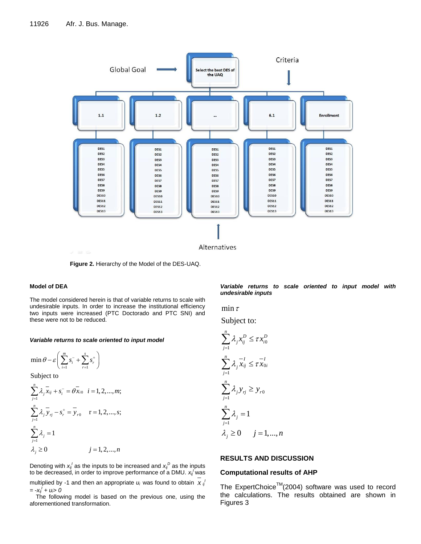

**Figure 2.** Hierarchy of the Model of the DES-UAQ.

#### **Model of DEA**

The model considered herein is that of variable returns to scale with undesirable inputs. In order to increase the institutional efficiency two inputs were increased (PTC Doctorado and PTC SNI) and these were not to be reduced.

#### *Variable returns to scale oriented to input model*

$$
\min \theta - \varepsilon \bigg( \sum_{i=1}^{m} s_i^{-} + \sum_{r=1}^{s} s_r^{+} \bigg)
$$

Subject to

$$
\sum_{j=1}^{n} \lambda_{j} \overline{x}_{ij} + s_{i}^{-} = \theta \overline{x}_{i0} \quad i = 1, 2, ..., m;
$$
  

$$
\sum_{j=1}^{n} \lambda_{j} \overline{y}_{ij} - s_{r}^{+} = \overline{y}_{r0} \qquad r = 1, 2, ..., s;
$$
  

$$
\sum_{j=1}^{n} \lambda_{j} = 1
$$
  

$$
\lambda_{j} \ge 0 \qquad j = 1, 2, ..., n
$$

Denoting with  $x_{ij}^j$  as the inputs to be increased and  $x_{ij}^D$  as the inputs to be decreased, in order to improve performance of a DMU. *xij <sup>I</sup>*was

multiplied by -1 and then an appropriate  $u_i$  was found to obtain  $x|_i$  $= -x_{ij}^{\prime} + u_i > 0$ 

The following model is based on the previous one, using the aforementioned transformation.

*Variable returns to scale oriented to input model with undesirable inputs*

 $\min \tau$ 

Subject to:

$$
\sum_{j=1}^{n} \lambda_j x_{ij}^D \le \tau x_{i0}^D
$$
  

$$
\sum_{j=1}^{n} \lambda_j \overline{x_{ij}} \le \tau \overline{x_{0i}}
$$
  

$$
\sum_{j=1}^{n} \lambda_j y_{ij} \ge y_{r0}
$$
  

$$
\sum_{j=1}^{n} \lambda_j = 1
$$
  

$$
\lambda_j \ge 0 \qquad j = 1, ..., n
$$

### **RESULTS AND DISCUSSION**

## **Computational results of AHP**

The ExpertChoice<sup>TM</sup>(2004) software was used to record the calculations. The results obtained are shown in Figures 3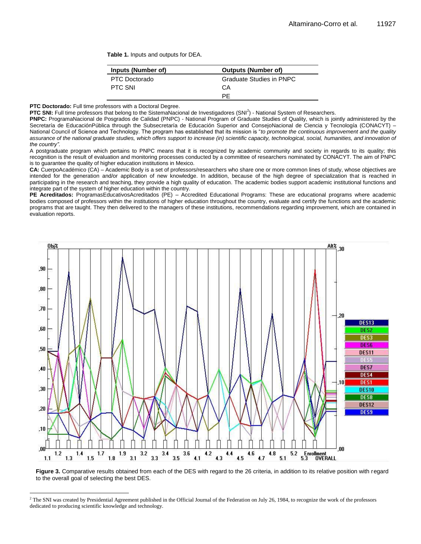**Table 1.** Inputs and outputs for DEA.

| Inputs (Number of) | <b>Outputs (Number of)</b> |
|--------------------|----------------------------|
| PTC Doctorado      | Graduate Studies in PNPC   |
| PTC SNI            | CА                         |
|                    | РF                         |

**PTC Doctorado:** Full time professors with a Doctoral Degree.

 $\overline{\phantom{a}}$ 

**PTC SNI:** Full time professors that belong to the SistemaNacional de Investigadores (SNI<sup>2</sup>) - National System of Researchers.

PNPC: ProgramaNacional de Posgrados de Calidad (PNPC) - National Program of Graduate Studies of Quality, which is jointly administered by the Secretaría de EducaciónPública through the Subsecretaría de Educación Superior and ConsejoNacional de Ciencia y Tecnología (CONACYT) – National Council of Science and Technology. The program has established that its mission is "*to promote the continuous improvement and the quality assurance of the national graduate studies, which offers support to increase (in) scientific capacity, technological, social, humanities, and innovation of the country".*

A postgraduate program which pertains to PNPC means that it is recognized by academic community and society in regards to its quality; this recognition is the result of evaluation and monitoring processes conducted by a committee of researchers nominated by CONACYT. The aim of PNPC is to guarantee the quality of higher education institutions in Mexico.

CA: CuerpoAcadémico (CA) – Academic Body is a set of professors/researchers who share one or more common lines of study, whose objectives are intended for the generation and/or application of new knowledge. In addition, because of the high degree of specialization that is reached in participating in the research and teaching, they provide a high quality of education. The academic bodies support academic institutional functions and integrate part of the system of higher education within the country.

**PE Acreditados:** ProgramasEducativosAcreditados (PE) – Accredited Educational Programs: These are educational programs where academic bodies composed of professors within the institutions of higher education throughout the country, evaluate and certify the functions and the academic programs that are taught. They then delivered to the managers of these institutions, recommendations regarding improvement, which are contained in evaluation reports.



**Figure 3.** Comparative results obtained from each of the DES with regard to the 26 criteria, in addition to its relative position with regard to the overall goal of selecting the best DES.

 $^2$  The SNI was created by Presidential Agreement published in the Official Journal of the Federation on July 26, 1984, to recognize the work of the professors dedicated to producing scientific knowledge and technology.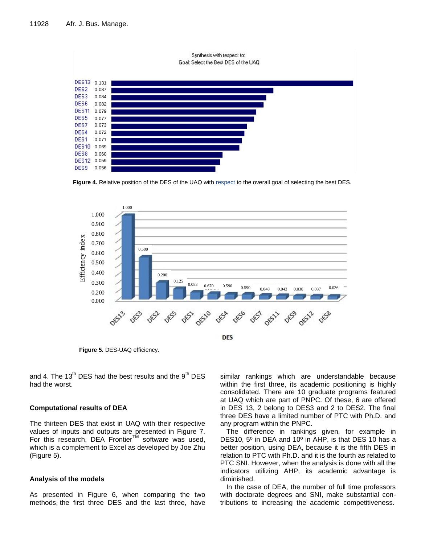

**Figure 4.** Relative position of the DES of the UAQ with respect to the overall goal of selecting the best DES.



**Figure 5.** DES-UAQ efficiency.

and 4. The  $13<sup>th</sup>$  DES had the best results and the  $9<sup>th</sup>$  DES had the worst.

## **Computational results of DEA**

The thirteen DES that exist in UAQ with their respective values of inputs and outputs are presented in Figure 7. For this research, DEA Frontier™ software was used, which is a complement to Excel as developed by Joe Zhu (Figure 5).

#### **Analysis of the models**

As presented in Figure 6, when comparing the two methods, the first three DES and the last three, have

similar rankings which are understandable because within the first three, its academic positioning is highly consolidated. There are 10 graduate programs featured at UAQ which are part of PNPC. Of these, 6 are offered in DES 13, 2 belong to DES3 and 2 to DES2. The final three DES have a limited number of PTC with Ph.D. and any program within the PNPC.

The difference in rankings given, for example in DES10, 5º in DEA and 10º in AHP, is that DES 10 has a better position, using DEA, because it is the fifth DES in relation to PTC with Ph.D. and it is the fourth as related to PTC SNI. However, when the analysis is done with all the indicators utilizing AHP, its academic advantage is diminished.

In the case of DEA, the number of full time professors with doctorate degrees and SNI, make substantial contributions to increasing the academic competitiveness.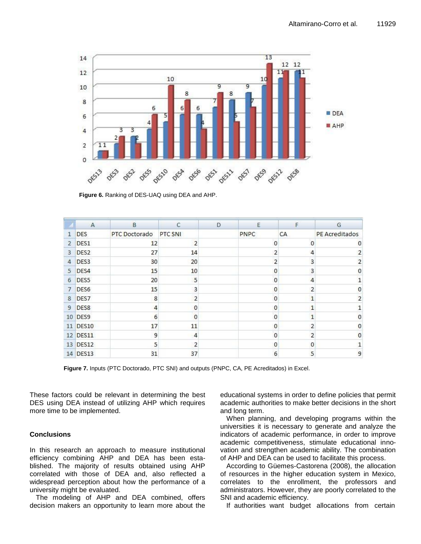

**Figure 6.** Ranking of DES-UAQ using DEA and AHP.

|                | $\mathsf{A}$     | B             | C              | D | E             | F              | G              |
|----------------|------------------|---------------|----------------|---|---------------|----------------|----------------|
| $\mathbf{1}$   | <b>DES</b>       | PTC Doctorado | PTC SNI        |   | PNPC          | CA             | PE Acreditados |
| $\overline{2}$ | DES1             | 12            | $\overline{2}$ |   | 0             | $\mathbf{0}$   |                |
| 3              | DES <sub>2</sub> | 27            | 14             |   | 2             | 4              |                |
| 4              | DES <sub>3</sub> | 30            | 20             |   | $\mathcal{I}$ | 3              | $\overline{2}$ |
| 5              | DES4             | 15            | 10             |   |               | 3              | 0              |
| 6              | DES5             | 20            | 5              |   | O             | 4              |                |
| 7              | DES6             | 15            | 3              |   | 0             | 2              |                |
| 8              | DES7             | 8             | $\mathcal{P}$  |   |               | 1              | э              |
| 9              | DES8             | 4             | $\mathbf{0}$   |   | $\Omega$      | 1              |                |
| 10             | DES9             | 6             | $\Omega$       |   | O             | $\mathbf{1}$   | n              |
|                | 11 DES10         | 17            | 11             |   | 0             | $\overline{2}$ | 0              |
|                | 12 DES11         | 9             | 4              |   | $\Omega$      | $\overline{2}$ | Ω              |
|                | 13 DES12         | 5             | $\overline{2}$ |   | $\Omega$      | $\mathbf{0}$   |                |
| 14             | DES13            | 31            | 37             |   | 6             | 5              | 9              |

**Figure 7.** Inputs (PTC Doctorado, PTC SNI) and outputs (PNPC, CA, PE Acreditados) in Excel.

These factors could be relevant in determining the best DES using DEA instead of utilizing AHP which requires more time to be implemented.

## **Conclusions**

In this research an approach to measure institutional efficiency combining AHP and DEA has been established. The majority of results obtained using AHP correlated with those of DEA and, also reflected a widespread perception about how the performance of a university might be evaluated.

The modeling of AHP and DEA combined, offers decision makers an opportunity to learn more about the educational systems in order to define policies that permit academic authorities to make better decisions in the short and long term.

When planning, and developing programs within the universities it is necessary to generate and analyze the indicators of academic performance, in order to improve academic competitiveness, stimulate educational innovation and strengthen academic ability. The combination of AHP and DEA can be used to facilitate this process.

According to Güemes-Castorena (2008), the allocation of resources in the higher education system in Mexico, correlates to the enrollment, the professors and administrators. However, they are poorly correlated to the SNI and academic efficiency.

If authorities want budget allocations from certain